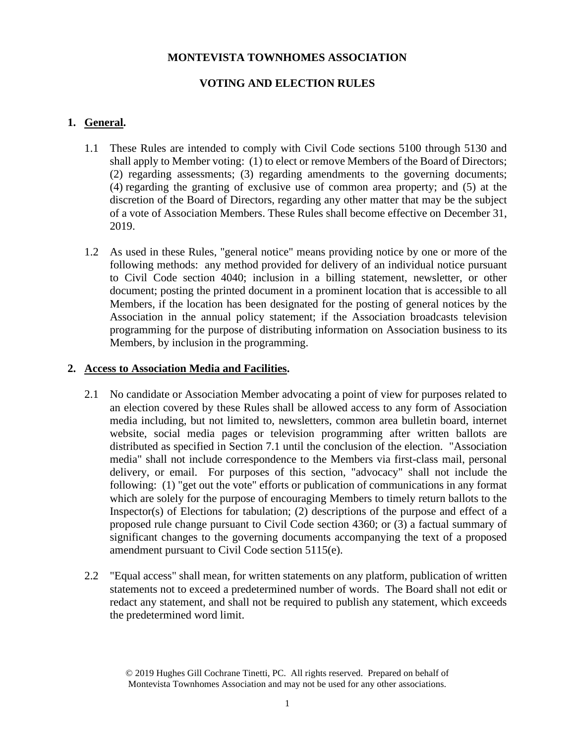## **MONTEVISTA TOWNHOMES ASSOCIATION**

# **VOTING AND ELECTION RULES**

## **1. General.**

- 1.1 These Rules are intended to comply with Civil Code sections 5100 through 5130 and shall apply to Member voting: (1) to elect or remove Members of the Board of Directors; (2) regarding assessments; (3) regarding amendments to the governing documents; (4) regarding the granting of exclusive use of common area property; and (5) at the discretion of the Board of Directors, regarding any other matter that may be the subject of a vote of Association Members. These Rules shall become effective on December 31, 2019.
- 1.2 As used in these Rules, "general notice" means providing notice by one or more of the following methods: any method provided for delivery of an individual notice pursuant to Civil Code section 4040; inclusion in a billing statement, newsletter, or other document; posting the printed document in a prominent location that is accessible to all Members, if the location has been designated for the posting of general notices by the Association in the annual policy statement; if the Association broadcasts television programming for the purpose of distributing information on Association business to its Members, by inclusion in the programming.

## **2. Access to Association Media and Facilities.**

- 2.1 No candidate or Association Member advocating a point of view for purposes related to an election covered by these Rules shall be allowed access to any form of Association media including, but not limited to, newsletters, common area bulletin board, internet website, social media pages or television programming after written ballots are distributed as specified in Section 7.1 until the conclusion of the election. "Association media" shall not include correspondence to the Members via first-class mail, personal delivery, or email. For purposes of this section, "advocacy" shall not include the following: (1) "get out the vote" efforts or publication of communications in any format which are solely for the purpose of encouraging Members to timely return ballots to the Inspector(s) of Elections for tabulation; (2) descriptions of the purpose and effect of a proposed rule change pursuant to Civil Code section 4360; or (3) a factual summary of significant changes to the governing documents accompanying the text of a proposed amendment pursuant to Civil Code section 5115(e).
- 2.2 "Equal access" shall mean, for written statements on any platform, publication of written statements not to exceed a predetermined number of words. The Board shall not edit or redact any statement, and shall not be required to publish any statement, which exceeds the predetermined word limit.

<sup>© 2019</sup> Hughes Gill Cochrane Tinetti, PC. All rights reserved. Prepared on behalf of Montevista Townhomes Association and may not be used for any other associations.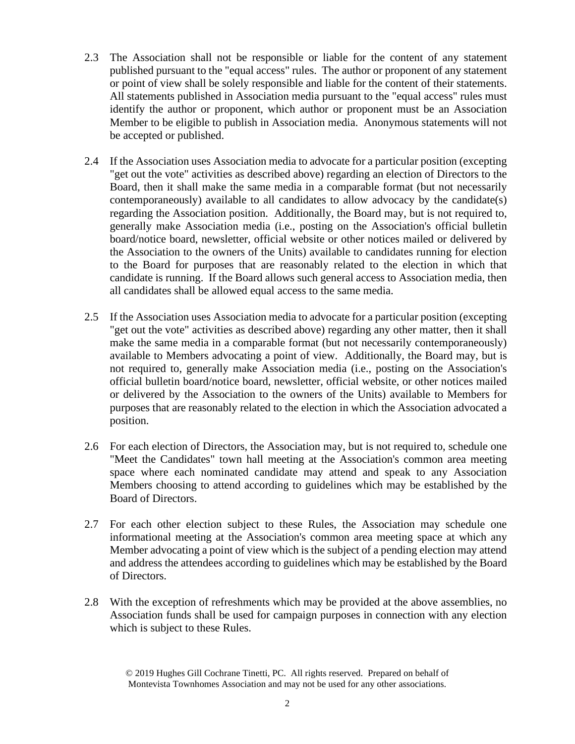- 2.3 The Association shall not be responsible or liable for the content of any statement published pursuant to the "equal access" rules. The author or proponent of any statement or point of view shall be solely responsible and liable for the content of their statements. All statements published in Association media pursuant to the "equal access" rules must identify the author or proponent, which author or proponent must be an Association Member to be eligible to publish in Association media. Anonymous statements will not be accepted or published.
- 2.4 If the Association uses Association media to advocate for a particular position (excepting "get out the vote" activities as described above) regarding an election of Directors to the Board, then it shall make the same media in a comparable format (but not necessarily contemporaneously) available to all candidates to allow advocacy by the candidate(s) regarding the Association position. Additionally, the Board may, but is not required to, generally make Association media (i.e., posting on the Association's official bulletin board/notice board, newsletter, official website or other notices mailed or delivered by the Association to the owners of the Units) available to candidates running for election to the Board for purposes that are reasonably related to the election in which that candidate is running. If the Board allows such general access to Association media, then all candidates shall be allowed equal access to the same media.
- 2.5 If the Association uses Association media to advocate for a particular position (excepting "get out the vote" activities as described above) regarding any other matter, then it shall make the same media in a comparable format (but not necessarily contemporaneously) available to Members advocating a point of view. Additionally, the Board may, but is not required to, generally make Association media (i.e., posting on the Association's official bulletin board/notice board, newsletter, official website, or other notices mailed or delivered by the Association to the owners of the Units) available to Members for purposes that are reasonably related to the election in which the Association advocated a position.
- 2.6 For each election of Directors, the Association may, but is not required to, schedule one "Meet the Candidates" town hall meeting at the Association's common area meeting space where each nominated candidate may attend and speak to any Association Members choosing to attend according to guidelines which may be established by the Board of Directors.
- 2.7 For each other election subject to these Rules, the Association may schedule one informational meeting at the Association's common area meeting space at which any Member advocating a point of view which is the subject of a pending election may attend and address the attendees according to guidelines which may be established by the Board of Directors.
- 2.8 With the exception of refreshments which may be provided at the above assemblies, no Association funds shall be used for campaign purposes in connection with any election which is subject to these Rules.

<sup>© 2019</sup> Hughes Gill Cochrane Tinetti, PC. All rights reserved. Prepared on behalf of Montevista Townhomes Association and may not be used for any other associations.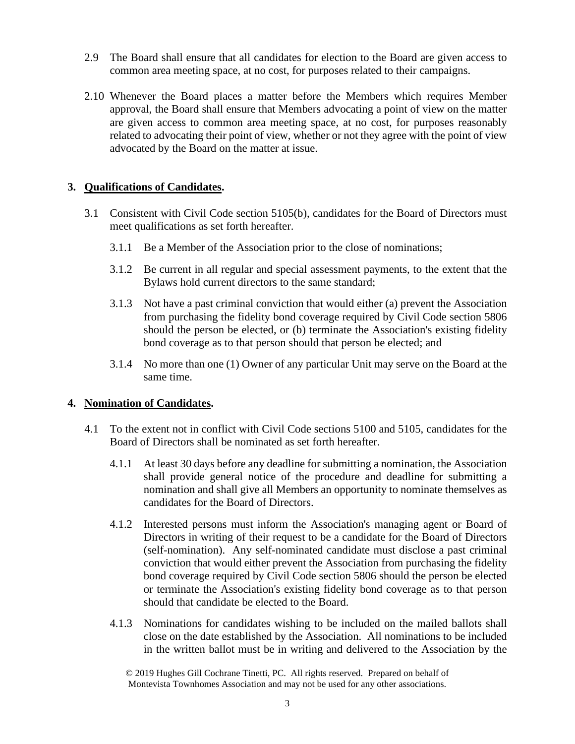- 2.9 The Board shall ensure that all candidates for election to the Board are given access to common area meeting space, at no cost, for purposes related to their campaigns.
- 2.10 Whenever the Board places a matter before the Members which requires Member approval, the Board shall ensure that Members advocating a point of view on the matter are given access to common area meeting space, at no cost, for purposes reasonably related to advocating their point of view, whether or not they agree with the point of view advocated by the Board on the matter at issue.

#### **3. Qualifications of Candidates.**

- 3.1 Consistent with Civil Code section 5105(b), candidates for the Board of Directors must meet qualifications as set forth hereafter.
	- 3.1.1 Be a Member of the Association prior to the close of nominations;
	- 3.1.2 Be current in all regular and special assessment payments, to the extent that the Bylaws hold current directors to the same standard;
	- 3.1.3 Not have a past criminal conviction that would either (a) prevent the Association from purchasing the fidelity bond coverage required by Civil Code section 5806 should the person be elected, or (b) terminate the Association's existing fidelity bond coverage as to that person should that person be elected; and
	- 3.1.4 No more than one (1) Owner of any particular Unit may serve on the Board at the same time.

# **4. Nomination of Candidates.**

- 4.1 To the extent not in conflict with Civil Code sections 5100 and 5105, candidates for the Board of Directors shall be nominated as set forth hereafter.
	- 4.1.1 At least 30 days before any deadline for submitting a nomination, the Association shall provide general notice of the procedure and deadline for submitting a nomination and shall give all Members an opportunity to nominate themselves as candidates for the Board of Directors.
	- 4.1.2 Interested persons must inform the Association's managing agent or Board of Directors in writing of their request to be a candidate for the Board of Directors (self-nomination). Any self-nominated candidate must disclose a past criminal conviction that would either prevent the Association from purchasing the fidelity bond coverage required by Civil Code section 5806 should the person be elected or terminate the Association's existing fidelity bond coverage as to that person should that candidate be elected to the Board.
	- 4.1.3 Nominations for candidates wishing to be included on the mailed ballots shall close on the date established by the Association. All nominations to be included in the written ballot must be in writing and delivered to the Association by the

<sup>© 2019</sup> Hughes Gill Cochrane Tinetti, PC. All rights reserved. Prepared on behalf of Montevista Townhomes Association and may not be used for any other associations.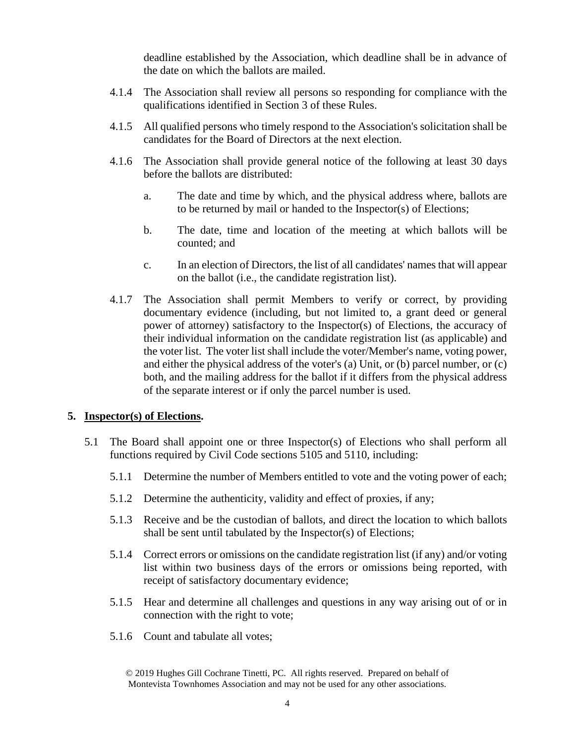deadline established by the Association, which deadline shall be in advance of the date on which the ballots are mailed.

- 4.1.4 The Association shall review all persons so responding for compliance with the qualifications identified in Section 3 of these Rules.
- 4.1.5 All qualified persons who timely respond to the Association's solicitation shall be candidates for the Board of Directors at the next election.
- 4.1.6 The Association shall provide general notice of the following at least 30 days before the ballots are distributed:
	- a. The date and time by which, and the physical address where, ballots are to be returned by mail or handed to the Inspector(s) of Elections;
	- b. The date, time and location of the meeting at which ballots will be counted; and
	- c. In an election of Directors, the list of all candidates' names that will appear on the ballot (i.e., the candidate registration list).
- 4.1.7 The Association shall permit Members to verify or correct, by providing documentary evidence (including, but not limited to, a grant deed or general power of attorney) satisfactory to the Inspector(s) of Elections, the accuracy of their individual information on the candidate registration list (as applicable) and the voter list. The voter list shall include the voter/Member's name, voting power, and either the physical address of the voter's (a) Unit, or (b) parcel number, or (c) both, and the mailing address for the ballot if it differs from the physical address of the separate interest or if only the parcel number is used.

#### **5. Inspector(s) of Elections.**

- 5.1 The Board shall appoint one or three Inspector(s) of Elections who shall perform all functions required by Civil Code sections 5105 and 5110, including:
	- 5.1.1 Determine the number of Members entitled to vote and the voting power of each;
	- 5.1.2 Determine the authenticity, validity and effect of proxies, if any;
	- 5.1.3 Receive and be the custodian of ballots, and direct the location to which ballots shall be sent until tabulated by the Inspector(s) of Elections;
	- 5.1.4 Correct errors or omissions on the candidate registration list (if any) and/or voting list within two business days of the errors or omissions being reported, with receipt of satisfactory documentary evidence;
	- 5.1.5 Hear and determine all challenges and questions in any way arising out of or in connection with the right to vote;
	- 5.1.6 Count and tabulate all votes;

<sup>© 2019</sup> Hughes Gill Cochrane Tinetti, PC. All rights reserved. Prepared on behalf of Montevista Townhomes Association and may not be used for any other associations.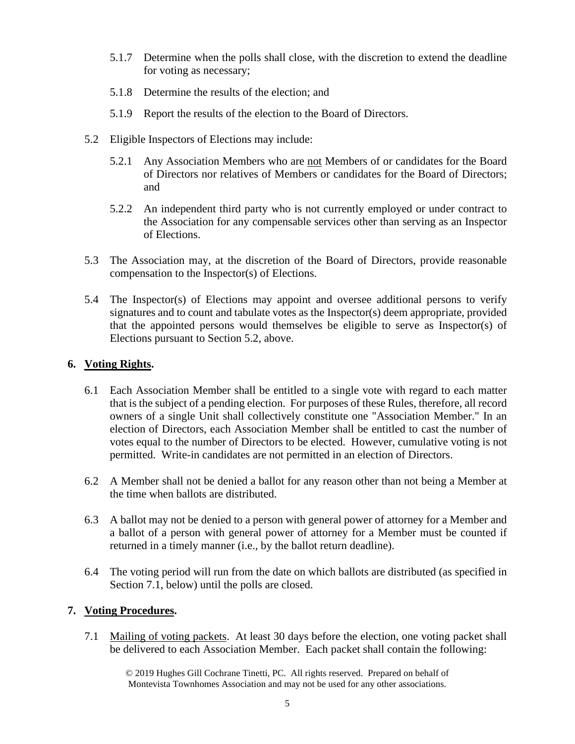- 5.1.7 Determine when the polls shall close, with the discretion to extend the deadline for voting as necessary;
- 5.1.8 Determine the results of the election; and
- 5.1.9 Report the results of the election to the Board of Directors.
- 5.2 Eligible Inspectors of Elections may include:
	- 5.2.1 Any Association Members who are not Members of or candidates for the Board of Directors nor relatives of Members or candidates for the Board of Directors; and
	- 5.2.2 An independent third party who is not currently employed or under contract to the Association for any compensable services other than serving as an Inspector of Elections.
- 5.3 The Association may, at the discretion of the Board of Directors, provide reasonable compensation to the Inspector(s) of Elections.
- 5.4 The Inspector(s) of Elections may appoint and oversee additional persons to verify signatures and to count and tabulate votes as the Inspector(s) deem appropriate, provided that the appointed persons would themselves be eligible to serve as Inspector(s) of Elections pursuant to Section 5.2, above.

#### **6. Voting Rights.**

- 6.1 Each Association Member shall be entitled to a single vote with regard to each matter that is the subject of a pending election. For purposes of these Rules, therefore, all record owners of a single Unit shall collectively constitute one "Association Member." In an election of Directors, each Association Member shall be entitled to cast the number of votes equal to the number of Directors to be elected. However, cumulative voting is not permitted. Write-in candidates are not permitted in an election of Directors.
- 6.2 A Member shall not be denied a ballot for any reason other than not being a Member at the time when ballots are distributed.
- 6.3 A ballot may not be denied to a person with general power of attorney for a Member and a ballot of a person with general power of attorney for a Member must be counted if returned in a timely manner (i.e., by the ballot return deadline).
- 6.4 The voting period will run from the date on which ballots are distributed (as specified in Section 7.1, below) until the polls are closed.

# **7. Voting Procedures.**

7.1 Mailing of voting packets. At least 30 days before the election, one voting packet shall be delivered to each Association Member. Each packet shall contain the following:

© 2019 Hughes Gill Cochrane Tinetti, PC. All rights reserved. Prepared on behalf of Montevista Townhomes Association and may not be used for any other associations.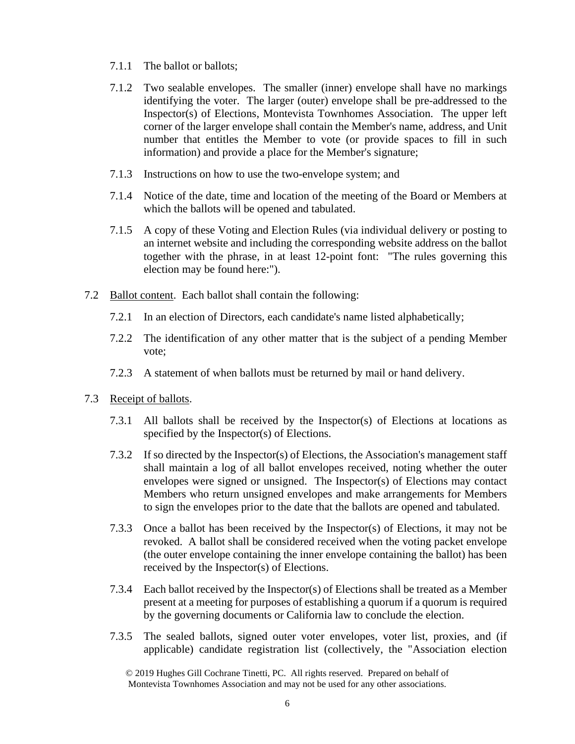- 7.1.1 The ballot or ballots;
- 7.1.2 Two sealable envelopes. The smaller (inner) envelope shall have no markings identifying the voter. The larger (outer) envelope shall be pre-addressed to the Inspector(s) of Elections, Montevista Townhomes Association. The upper left corner of the larger envelope shall contain the Member's name, address, and Unit number that entitles the Member to vote (or provide spaces to fill in such information) and provide a place for the Member's signature;
- 7.1.3 Instructions on how to use the two-envelope system; and
- 7.1.4 Notice of the date, time and location of the meeting of the Board or Members at which the ballots will be opened and tabulated.
- 7.1.5 A copy of these Voting and Election Rules (via individual delivery or posting to an internet website and including the corresponding website address on the ballot together with the phrase, in at least 12-point font: "The rules governing this election may be found here:").
- 7.2 Ballot content. Each ballot shall contain the following:
	- 7.2.1 In an election of Directors, each candidate's name listed alphabetically;
	- 7.2.2 The identification of any other matter that is the subject of a pending Member vote;
	- 7.2.3 A statement of when ballots must be returned by mail or hand delivery.
- 7.3 Receipt of ballots.
	- 7.3.1 All ballots shall be received by the Inspector(s) of Elections at locations as specified by the Inspector(s) of Elections.
	- 7.3.2 If so directed by the Inspector(s) of Elections, the Association's management staff shall maintain a log of all ballot envelopes received, noting whether the outer envelopes were signed or unsigned. The Inspector(s) of Elections may contact Members who return unsigned envelopes and make arrangements for Members to sign the envelopes prior to the date that the ballots are opened and tabulated.
	- 7.3.3 Once a ballot has been received by the Inspector(s) of Elections, it may not be revoked. A ballot shall be considered received when the voting packet envelope (the outer envelope containing the inner envelope containing the ballot) has been received by the Inspector(s) of Elections.
	- 7.3.4 Each ballot received by the Inspector(s) of Elections shall be treated as a Member present at a meeting for purposes of establishing a quorum if a quorum is required by the governing documents or California law to conclude the election.
	- 7.3.5 The sealed ballots, signed outer voter envelopes, voter list, proxies, and (if applicable) candidate registration list (collectively, the "Association election

<sup>© 2019</sup> Hughes Gill Cochrane Tinetti, PC. All rights reserved. Prepared on behalf of Montevista Townhomes Association and may not be used for any other associations.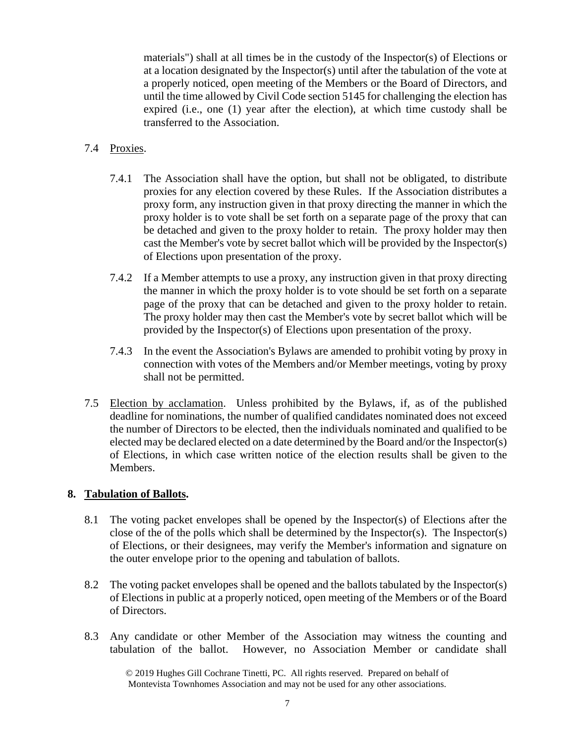materials") shall at all times be in the custody of the Inspector(s) of Elections or at a location designated by the Inspector(s) until after the tabulation of the vote at a properly noticed, open meeting of the Members or the Board of Directors, and until the time allowed by Civil Code section 5145 for challenging the election has expired (i.e., one (1) year after the election), at which time custody shall be transferred to the Association.

## 7.4 Proxies.

- 7.4.1 The Association shall have the option, but shall not be obligated, to distribute proxies for any election covered by these Rules. If the Association distributes a proxy form, any instruction given in that proxy directing the manner in which the proxy holder is to vote shall be set forth on a separate page of the proxy that can be detached and given to the proxy holder to retain. The proxy holder may then cast the Member's vote by secret ballot which will be provided by the Inspector(s) of Elections upon presentation of the proxy.
- 7.4.2 If a Member attempts to use a proxy, any instruction given in that proxy directing the manner in which the proxy holder is to vote should be set forth on a separate page of the proxy that can be detached and given to the proxy holder to retain. The proxy holder may then cast the Member's vote by secret ballot which will be provided by the Inspector(s) of Elections upon presentation of the proxy.
- 7.4.3 In the event the Association's Bylaws are amended to prohibit voting by proxy in connection with votes of the Members and/or Member meetings, voting by proxy shall not be permitted.
- 7.5 Election by acclamation. Unless prohibited by the Bylaws, if, as of the published deadline for nominations, the number of qualified candidates nominated does not exceed the number of Directors to be elected, then the individuals nominated and qualified to be elected may be declared elected on a date determined by the Board and/or the Inspector(s) of Elections, in which case written notice of the election results shall be given to the Members.

#### **8. Tabulation of Ballots.**

- 8.1 The voting packet envelopes shall be opened by the Inspector(s) of Elections after the close of the of the polls which shall be determined by the Inspector(s). The Inspector(s) of Elections, or their designees, may verify the Member's information and signature on the outer envelope prior to the opening and tabulation of ballots.
- 8.2 The voting packet envelopes shall be opened and the ballots tabulated by the Inspector(s) of Elections in public at a properly noticed, open meeting of the Members or of the Board of Directors.
- 8.3 Any candidate or other Member of the Association may witness the counting and tabulation of the ballot. However, no Association Member or candidate shall

© 2019 Hughes Gill Cochrane Tinetti, PC. All rights reserved. Prepared on behalf of Montevista Townhomes Association and may not be used for any other associations.